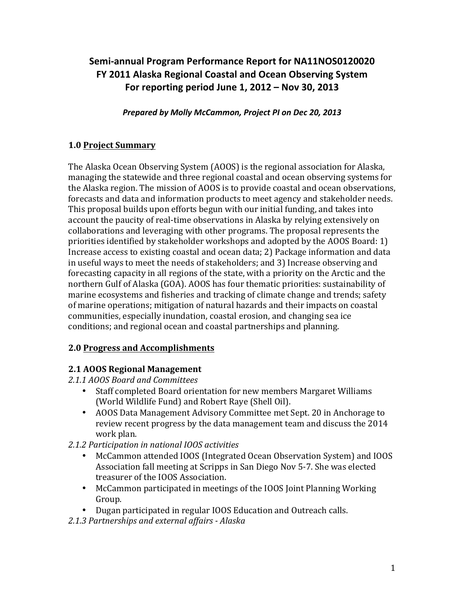# Semi-annual Program Performance Report for NA11NOS0120020 **FY 2011 Alaska Regional Coastal and Ocean Observing System For reporting period June 1, 2012 – Nov 30, 2013**

*Prepared by Molly McCammon, Project PI on Dec 20, 2013*

### **1.0 Project Summary**

The Alaska Ocean Observing System (AOOS) is the regional association for Alaska, managing the statewide and three regional coastal and ocean observing systems for the Alaska region. The mission of AOOS is to provide coastal and ocean observations, forecasts and data and information products to meet agency and stakeholder needs. This proposal builds upon efforts begun with our initial funding, and takes into account the paucity of real-time observations in Alaska by relying extensively on collaborations and leveraging with other programs. The proposal represents the priorities identified by stakeholder workshops and adopted by the AOOS Board:  $1$ ) Increase access to existing coastal and ocean data; 2) Package information and data in useful ways to meet the needs of stakeholders; and 3) Increase observing and forecasting capacity in all regions of the state, with a priority on the Arctic and the northern Gulf of Alaska (GOA). AOOS has four thematic priorities: sustainability of marine ecosystems and fisheries and tracking of climate change and trends; safety of marine operations; mitigation of natural hazards and their impacts on coastal communities, especially inundation, coastal erosion, and changing sea ice conditions; and regional ocean and coastal partnerships and planning.

### **2.0 Progress and Accomplishments**

### **2.1 AOOS Regional Management**

*2.1.1 AOOS Board and Committees*

- Staff completed Board orientation for new members Margaret Williams (World Wildlife Fund) and Robert Raye (Shell Oil).
- AOOS Data Management Advisory Committee met Sept. 20 in Anchorage to review recent progress by the data management team and discuss the 2014 work plan.
- *2.1.2 Participation in national IOOS activities*
	- McCammon attended IOOS (Integrated Ocean Observation System) and IOOS Association fall meeting at Scripps in San Diego Nov 5-7. She was elected treasurer of the IOOS Association.
	- McCammon participated in meetings of the IOOS Joint Planning Working Group.
	- Dugan participated in regular IOOS Education and Outreach calls.
- *2.1.3 Partnerships and external affairs - Alaska*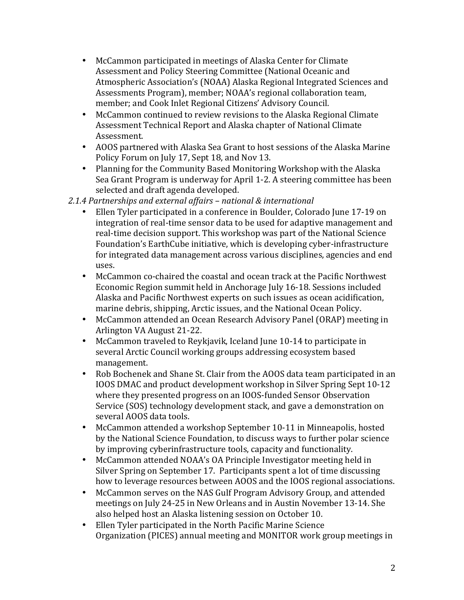- McCammon participated in meetings of Alaska Center for Climate Assessment and Policy Steering Committee (National Oceanic and Atmospheric Association's (NOAA) Alaska Regional Integrated Sciences and Assessments Program), member; NOAA's regional collaboration team, member; and Cook Inlet Regional Citizens' Advisory Council.
- McCammon continued to review revisions to the Alaska Regional Climate Assessment Technical Report and Alaska chapter of National Climate Assessment.
- AOOS partnered with Alaska Sea Grant to host sessions of the Alaska Marine Policy Forum on July 17, Sept 18, and Nov 13.
- Planning for the Community Based Monitoring Workshop with the Alaska Sea Grant Program is underway for April 1-2. A steering committee has been selected and draft agenda developed.
- *2.1.4 Partnerships and external affairs – national & international*
	- Ellen Tyler participated in a conference in Boulder, Colorado June 17-19 on integration of real-time sensor data to be used for adaptive management and real-time decision support. This workshop was part of the National Science Foundation's EarthCube initiative, which is developing cyber-infrastructure for integrated data management across various disciplines, agencies and end uses.
	- McCammon co-chaired the coastal and ocean track at the Pacific Northwest Economic Region summit held in Anchorage July 16-18. Sessions included Alaska and Pacific Northwest experts on such issues as ocean acidification, marine debris, shipping, Arctic issues, and the National Ocean Policy.
	- McCammon attended an Ocean Research Advisory Panel (ORAP) meeting in Arlington VA August 21-22.
	- McCammon traveled to Reykjavik, Iceland June 10-14 to participate in several Arctic Council working groups addressing ecosystem based management.
	- Rob Bochenek and Shane St. Clair from the AOOS data team participated in an IOOS DMAC and product development workshop in Silver Spring Sept 10-12 where they presented progress on an IOOS-funded Sensor Observation Service (SOS) technology development stack, and gave a demonstration on several AOOS data tools.
	- McCammon attended a workshop September 10-11 in Minneapolis, hosted by the National Science Foundation, to discuss ways to further polar science by improving cyberinfrastructure tools, capacity and functionality.
	- McCammon attended NOAA's OA Principle Investigator meeting held in Silver Spring on September 17. Participants spent a lot of time discussing how to leverage resources between AOOS and the IOOS regional associations.
	- McCammon serves on the NAS Gulf Program Advisory Group, and attended meetings on July 24-25 in New Orleans and in Austin November 13-14. She also helped host an Alaska listening session on October 10.
	- Ellen Tyler participated in the North Pacific Marine Science Organization (PICES) annual meeting and MONITOR work group meetings in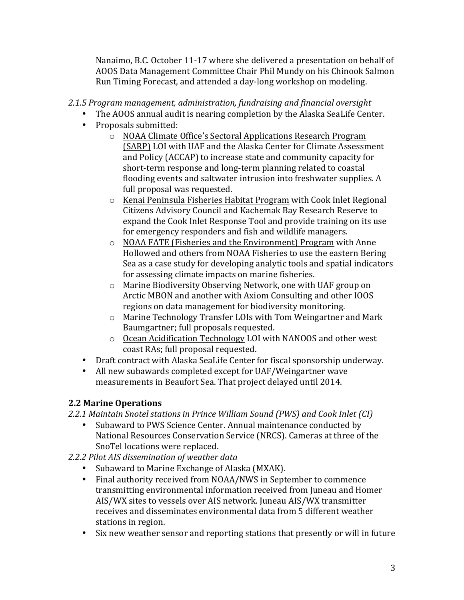Nanaimo, B.C. October 11-17 where she delivered a presentation on behalf of AOOS Data Management Committee Chair Phil Mundy on his Chinook Salmon Run Timing Forecast, and attended a day-long workshop on modeling.

## *2.1.5 Program management, administration, fundraising and financial oversight*

- The AOOS annual audit is nearing completion by the Alaska SeaLife Center.
- Proposals submitted:
	- o NOAA Climate Office's Sectoral Applications Research Program (SARP) LOI with UAF and the Alaska Center for Climate Assessment and Policy (ACCAP) to increase state and community capacity for short-term response and long-term planning related to coastal flooding events and saltwater intrusion into freshwater supplies. A full proposal was requested.
	- o Kenai Peninsula Fisheries Habitat Program with Cook Inlet Regional Citizens Advisory Council and Kachemak Bay Research Reserve to expand the Cook Inlet Response Tool and provide training on its use for emergency responders and fish and wildlife managers.
	- $\circ$  NOAA FATE (Fisheries and the Environment) Program with Anne Hollowed and others from NOAA Fisheries to use the eastern Bering Sea as a case study for developing analytic tools and spatial indicators for assessing climate impacts on marine fisheries.
	- $\circ$  Marine Biodiversity Observing Network, one with UAF group on Arctic MBON and another with Axiom Consulting and other IOOS regions on data management for biodiversity monitoring.
	- $\circ$  Marine Technology Transfer LOIs with Tom Weingartner and Mark Baumgartner; full proposals requested.
	- $\circ$  Ocean Acidification Technology LOI with NANOOS and other west coast RAs; full proposal requested.
- Draft contract with Alaska SeaLife Center for fiscal sponsorship underway.
- All new subawards completed except for UAF/Weingartner wave measurements in Beaufort Sea. That project delayed until 2014.

# **2.2 Marine Operations**

*2.2.1 Maintain Snotel stations in Prince William Sound (PWS) and Cook Inlet (CI)*

- Subaward to PWS Science Center. Annual maintenance conducted by National Resources Conservation Service (NRCS). Cameras at three of the SnoTel locations were replaced.
- *2.2.2 Pilot AIS dissemination of weather data*
	- Subaward to Marine Exchange of Alaska (MXAK).
	- Final authority received from NOAA/NWS in September to commence transmitting environmental information received from Juneau and Homer AIS/WX sites to vessels over AIS network. Juneau AIS/WX transmitter receives and disseminates environmental data from 5 different weather stations in region.
	- Six new weather sensor and reporting stations that presently or will in future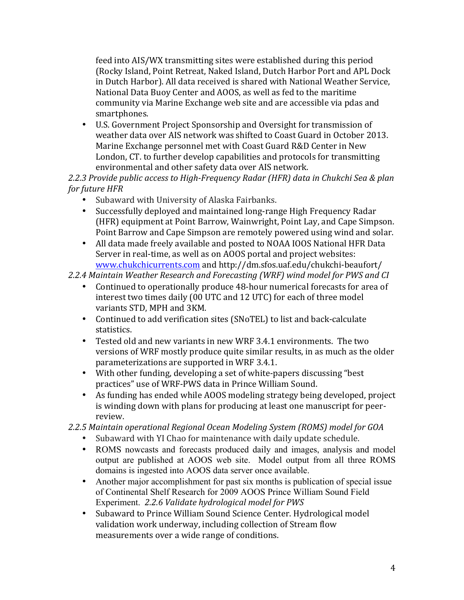feed into AIS/WX transmitting sites were established during this period (Rocky Island, Point Retreat, Naked Island, Dutch Harbor Port and APL Dock in Dutch Harbor). All data received is shared with National Weather Service, National Data Buoy Center and AOOS, as well as fed to the maritime community via Marine Exchange web site and are accessible via pdas and smartphones. 

• U.S. Government Project Sponsorship and Oversight for transmission of weather data over AIS network was shifted to Coast Guard in October 2013. Marine Exchange personnel met with Coast Guard R&D Center in New London, CT. to further develop capabilities and protocols for transmitting environmental and other safety data over AIS network.

2.2.3 Provide public access to High-Frequency Radar (HFR) data in Chukchi Sea & plan *for future HFR* 

- Subaward with University of Alaska Fairbanks.
- Successfully deployed and maintained long-range High Frequency Radar (HFR) equipment at Point Barrow, Wainwright, Point Lay, and Cape Simpson. Point Barrow and Cape Simpson are remotely powered using wind and solar.
- All data made freely available and posted to NOAA IOOS National HFR Data Server in real-time, as well as on AOOS portal and project websites: [www.chukchicurrents.com](http://www.chukchicurrents.com) and http://dm.sfos.uaf.edu/chukchi-beaufort/

## *2.2.4 Maintain Weather Research and Forecasting (WRF) wind model for PWS and CI*

- Continued to operationally produce 48-hour numerical forecasts for area of interest two times daily (00 UTC and 12 UTC) for each of three model variants STD, MPH and 3KM.
- Continued to add verification sites (SNoTEL) to list and back-calculate statistics.
- Tested old and new variants in new WRF 3.4.1 environments. The two versions of WRF mostly produce quite similar results, in as much as the older parameterizations are supported in WRF 3.4.1.
- With other funding, developing a set of white-papers discussing "best" practices" use of WRF-PWS data in Prince William Sound.
- As funding has ended while AOOS modeling strategy being developed, project is winding down with plans for producing at least one manuscript for peerreview.

# *2.2.5 Maintain operational Regional Ocean Modeling System (ROMS) model for GOA*

- Subaward with YI Chao for maintenance with daily update schedule.
- ROMS nowcasts and forecasts produced daily and images, analysis and model output are published at AOOS web site. Model output from all three ROMS domains is ingested into AOOS data server once available.
- Another major accomplishment for past six months is publication of special issue of Continental Shelf Research for 2009 AOOS Prince William Sound Field Experiment. 2.2.6 Validate hydrological model for PWS
- Subaward to Prince William Sound Science Center. Hydrological model validation work underway, including collection of Stream flow measurements over a wide range of conditions.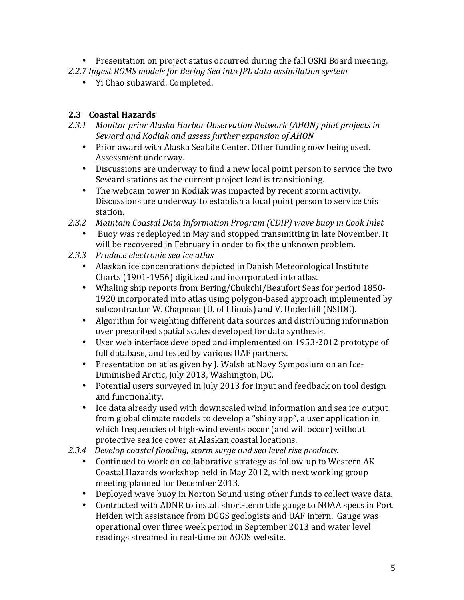- Presentation on project status occurred during the fall OSRI Board meeting.
- 2.2.7 Ingest ROMS models for Bering Sea into *JPL* data assimilation system
	- Yi Chao subaward. Completed.

### **2.3 Coastal Hazards**

- 2.3.1 Monitor prior Alaska Harbor Observation Network (AHON) pilot projects in Seward and Kodiak and assess further expansion of AHON
	- Prior award with Alaska SeaLife Center. Other funding now being used. Assessment underway.
	- Discussions are underway to find a new local point person to service the two Seward stations as the current project lead is transitioning.
	- The webcam tower in Kodiak was impacted by recent storm activity. Discussions are underway to establish a local point person to service this station.
- *2.3.2 Maintain Coastal Data Information Program (CDIP) wave buoy in Cook Inlet*
	- Buoy was redeployed in May and stopped transmitting in late November. It will be recovered in February in order to fix the unknown problem.
- *2.3.3 Produce electronic sea ice atlas*
	- Alaskan ice concentrations depicted in Danish Meteorological Institute Charts (1901-1956) digitized and incorporated into atlas.
	- Whaling ship reports from Bering/Chukchi/Beaufort Seas for period 1850-1920 incorporated into atlas using polygon-based approach implemented by subcontractor W. Chapman (U. of Illinois) and V. Underhill (NSIDC).
	- Algorithm for weighting different data sources and distributing information over prescribed spatial scales developed for data synthesis.
	- User web interface developed and implemented on 1953-2012 prototype of full database, and tested by various UAF partners.
	- Presentation on atlas given by J. Walsh at Navy Symposium on an Ice-Diminished Arctic, July 2013, Washington, DC.
	- Potential users surveyed in July 2013 for input and feedback on tool design and functionality.
	- Ice data already used with downscaled wind information and sea ice output from global climate models to develop a "shiny app", a user application in which frequencies of high-wind events occur (and will occur) without protective sea ice cover at Alaskan coastal locations.
- 2.3.4 Develop coastal flooding, storm surge and sea level rise products.
	- Continued to work on collaborative strategy as follow-up to Western AK Coastal Hazards workshop held in May 2012, with next working group meeting planned for December 2013.
	- Deployed wave buoy in Norton Sound using other funds to collect wave data.
	- Contracted with ADNR to install short-term tide gauge to NOAA specs in Port Heiden with assistance from DGGS geologists and UAF intern. Gauge was operational over three week period in September 2013 and water level readings streamed in real-time on AOOS website.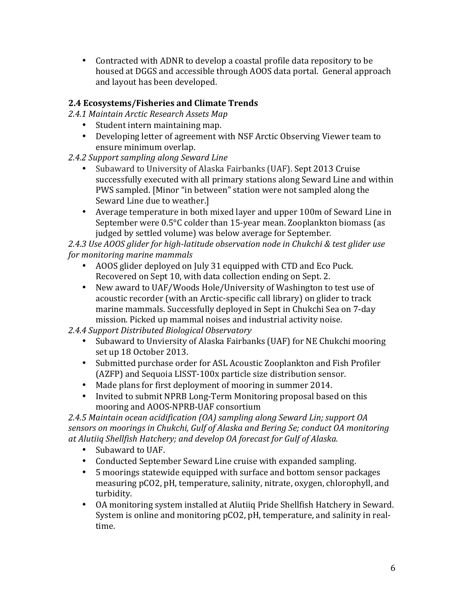• Contracted with ADNR to develop a coastal profile data repository to be housed at DGGS and accessible through AOOS data portal. General approach and layout has been developed.

# **2.4 Ecosystems/Fisheries and Climate Trends**

*2.4.1 Maintain Arctic Research Assets Map*

- Student intern maintaining map.
- Developing letter of agreement with NSF Arctic Observing Viewer team to ensure minimum overlap.
- 2.4.2 Support sampling along Seward Line
	- Subaward to University of Alaska Fairbanks (UAF). Sept 2013 Cruise successfully executed with all primary stations along Seward Line and within PWS sampled. [Minor "in between" station were not sampled along the Seward Line due to weather.]
	- Average temperature in both mixed layer and upper 100m of Seward Line in September were  $0.5^{\circ}$ C colder than 15-year mean. Zooplankton biomass (as judged by settled volume) was below average for September.

2.4.3 Use AOOS glider for high-latitude observation node in Chukchi & test glider use *for monitoring marine mammals*

- AOOS glider deployed on July 31 equipped with CTD and Eco Puck. Recovered on Sept 10, with data collection ending on Sept. 2.
- New award to UAF/Woods Hole/University of Washington to test use of acoustic recorder (with an Arctic-specific call library) on glider to track marine mammals. Successfully deployed in Sept in Chukchi Sea on 7-day mission. Picked up mammal noises and industrial activity noise.

*2.4.4 Support Distributed Biological Observatory*

- Subaward to Unviersity of Alaska Fairbanks (UAF) for NE Chukchi mooring set up 18 October 2013.
- Submitted purchase order for ASL Acoustic Zooplankton and Fish Profiler (AZFP) and Sequoia LISST-100x particle size distribution sensor.
- Made plans for first deployment of mooring in summer 2014.
- Invited to submit NPRB Long-Term Monitoring proposal based on this mooring and AOOS-NPRB-UAF consortium

*2.4.5 Maintain ocean acidification (OA) sampling along Seward Lin; support OA*  sensors on moorings in Chukchi, Gulf of Alaska and Bering Se; conduct OA monitoring *at Alutiiq Shellfish Hatchery; and develop OA forecast for Gulf of Alaska.*

- Subaward to UAF.
- Conducted September Seward Line cruise with expanded sampling.
- 5 moorings statewide equipped with surface and bottom sensor packages measuring pCO2, pH, temperature, salinity, nitrate, oxygen, chlorophyll, and turbidity.
- OA monitoring system installed at Alutiiq Pride Shellfish Hatchery in Seward. System is online and monitoring pCO2, pH, temperature, and salinity in realtime.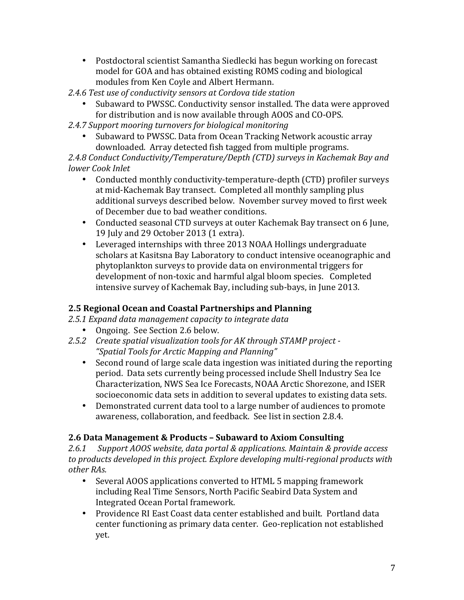- Postdoctoral scientist Samantha Siedlecki has begun working on forecast model for GOA and has obtained existing ROMS coding and biological modules from Ken Coyle and Albert Hermann.
- 2.4.6 Test use of conductivity sensors at Cordova tide station
	- Subaward to PWSSC. Conductivity sensor installed. The data were approved for distribution and is now available through AOOS and CO-OPS.
- 2.4.7 Support mooring turnovers for biological monitoring
	- Subaward to PWSSC. Data from Ocean Tracking Network acoustic array downloaded. Array detected fish tagged from multiple programs.

2.4.8 Conduct Conductivity/Temperature/Depth (CTD) surveys in Kachemak Bay and *lower Cook Inlet*

- Conducted monthly conductivity-temperature-depth (CTD) profiler surveys at mid-Kachemak Bay transect. Completed all monthly sampling plus additional surveys described below. November survey moved to first week of December due to bad weather conditions.
- Conducted seasonal CTD surveys at outer Kachemak Bay transect on 6 June, 19 July and 29 October 2013 (1 extra).
- Leveraged internships with three 2013 NOAA Hollings undergraduate scholars at Kasitsna Bay Laboratory to conduct intensive oceanographic and phytoplankton surveys to provide data on environmental triggers for development of non-toxic and harmful algal bloom species. Completed intensive survey of Kachemak Bay, including sub-bays, in June 2013.

# **2.5 Regional Ocean and Coastal Partnerships and Planning**

*2.5.1 Expand data management capacity to integrate data*

- Ongoing. See Section 2.6 below.
- 2.5.2 Create spatial visualization tools for AK through STAMP project -*"Spatial Tools for Arctic Mapping and Planning"*
	- Second round of large scale data ingestion was initiated during the reporting period. Data sets currently being processed include Shell Industry Sea Ice Characterization, NWS Sea Ice Forecasts, NOAA Arctic Shorezone, and ISER socioeconomic data sets in addition to several updates to existing data sets.
	- Demonstrated current data tool to a large number of audiences to promote awareness, collaboration, and feedback. See list in section 2.8.4.

# **2.6 Data Management & Products – Subaward to Axiom Consulting**

2.6.1 Support AOOS website, data portal & applications. Maintain & provide access to products developed in this project. Explore developing multi-regional products with *other RAs.*

- Several AOOS applications converted to HTML 5 mapping framework including Real Time Sensors, North Pacific Seabird Data System and Integrated Ocean Portal framework.
- Providence RI East Coast data center established and built. Portland data center functioning as primary data center. Geo-replication not established yet.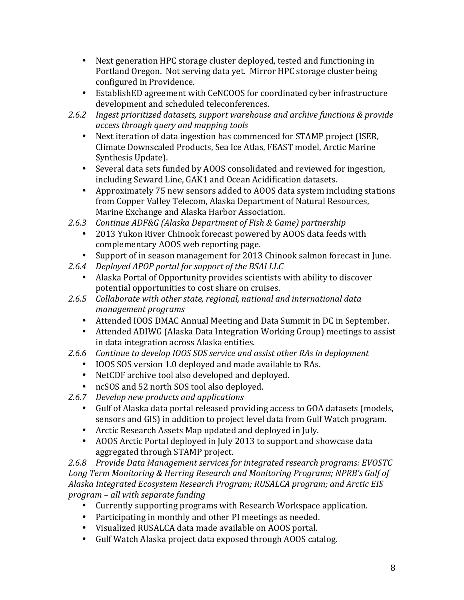- Next generation HPC storage cluster deployed, tested and functioning in Portland Oregon. Not serving data yet. Mirror HPC storage cluster being configured in Providence.
- EstablishED agreement with CeNCOOS for coordinated cyber infrastructure development and scheduled teleconferences.
- 2.6.2 Ingest prioritized datasets, support warehouse and archive functions & provide *access through query and mapping tools*
	- Next iteration of data ingestion has commenced for STAMP project (ISER, Climate Downscaled Products, Sea Ice Atlas, FEAST model, Arctic Marine Synthesis Update).
	- Several data sets funded by AOOS consolidated and reviewed for ingestion, including Seward Line, GAK1 and Ocean Acidification datasets.
	- Approximately 75 new sensors added to AOOS data system including stations from Copper Valley Telecom, Alaska Department of Natural Resources, Marine Exchange and Alaska Harbor Association.
- 2.6.3 Continue ADF&G (Alaska Department of Fish & Game) partnership
	- 2013 Yukon River Chinook forecast powered by AOOS data feeds with complementary AOOS web reporting page.
	- Support of in season management for 2013 Chinook salmon forecast in June.
- 2.6.4 Deployed APOP portal for support of the BSAI LLC
	- Alaska Portal of Opportunity provides scientists with ability to discover potential opportunities to cost share on cruises.
- 2.6.5 Collaborate with other state, regional, national and international data *management programs*
	- Attended IOOS DMAC Annual Meeting and Data Summit in DC in September.
	- Attended ADIWG (Alaska Data Integration Working Group) meetings to assist in data integration across Alaska entities.
- 2.6.6 Continue to develop IOOS SOS service and assist other RAs in deployment
	- IOOS SOS version 1.0 deployed and made available to RAs.
	- NetCDF archive tool also developed and deployed.
	- ncSOS and 52 north SOS tool also deployed.
- 2.6.7 *Develop new products and applications* 
	- Gulf of Alaska data portal released providing access to GOA datasets (models, sensors and GIS) in addition to project level data from Gulf Watch program.
	- Arctic Research Assets Map updated and deployed in July.
	- AOOS Arctic Portal deployed in July 2013 to support and showcase data aggregated through STAMP project.

2.6.8 Provide Data Management services for integrated research programs: EVOSTC Long Term Monitoring & Herring Research and Monitoring Programs; NPRB's Gulf of Alaska Integrated *Ecosystem Research Program; RUSALCA program; and Arctic EIS program – all with separate funding*

- Currently supporting programs with Research Workspace application.
- Participating in monthly and other PI meetings as needed.
- Visualized RUSALCA data made available on AOOS portal.
- Gulf Watch Alaska project data exposed through AOOS catalog.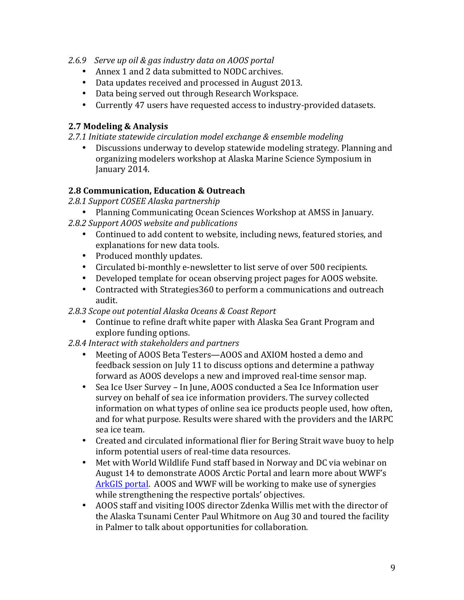- *2.6.9 Serve up oil & gas industry data on AOOS portal*
	- Annex 1 and 2 data submitted to NODC archives.
	- Data updates received and processed in August 2013.
	- Data being served out through Research Workspace.
	- Currently 47 users have requested access to industry-provided datasets.

### **2.7 Modeling & Analysis**

2.7.1 Initiate statewide circulation model exchange & ensemble modeling

• Discussions underway to develop statewide modeling strategy. Planning and organizing modelers workshop at Alaska Marine Science Symposium in January 2014.

### **2.8 Communication, Education & Outreach**

- *2.8.1 Support COSEE Alaska partnership*
- Planning Communicating Ocean Sciences Workshop at AMSS in January.
- 2.8.2 Support AOOS website and publications
	- Continued to add content to website, including news, featured stories, and explanations for new data tools.
	- Produced monthly updates.
	- Circulated bi-monthly e-newsletter to list serve of over 500 recipients.
	- Developed template for ocean observing project pages for AOOS website.
	- Contracted with Strategies 360 to perform a communications and outreach audit.

*2.8.3 Scope out potential Alaska Oceans & Coast Report*

- Continue to refine draft white paper with Alaska Sea Grant Program and explore funding options.
- 2.8.4 Interact with stakeholders and partners
	- Meeting of AOOS Beta Testers—AOOS and AXIOM hosted a demo and feedback session on July 11 to discuss options and determine a pathway forward as AOOS develops a new and improved real-time sensor map.
	- Sea Ice User Survey In June, AOOS conducted a Sea Ice Information user survey on behalf of sea ice information providers. The survey collected information on what types of online sea ice products people used, how often, and for what purpose. Results were shared with the providers and the IARPC sea ice team.
	- Created and circulated informational flier for Bering Strait wave buoy to help inform potential users of real-time data resources.
	- Met with World Wildlife Fund staff based in Norway and DC via webinar on August 14 to demonstrate AOOS Arctic Portal and learn more about WWF's ArkGIS portal. AOOS and WWF will be working to make use of synergies while strengthening the respective portals' objectives.
	- AOOS staff and visiting IOOS director Zdenka Willis met with the director of the Alaska Tsunami Center Paul Whitmore on Aug 30 and toured the facility in Palmer to talk about opportunities for collaboration.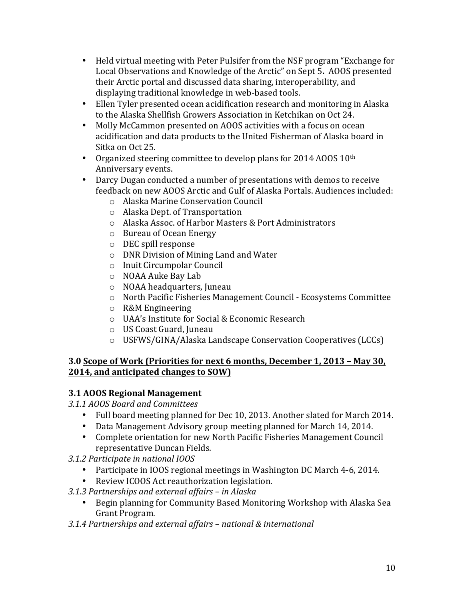- Held virtual meeting with Peter Pulsifer from the NSF program "Exchange for Local Observations and Knowledge of the Arctic" on Sept 5. AOOS presented their Arctic portal and discussed data sharing, interoperability, and displaying traditional knowledge in web-based tools.
- Ellen Tyler presented ocean acidification research and monitoring in Alaska to the Alaska Shellfish Growers Association in Ketchikan on Oct 24.
- Molly McCammon presented on AOOS activities with a focus on ocean acidification and data products to the United Fisherman of Alaska board in Sitka on Oct 25.
- Organized steering committee to develop plans for 2014 AOOS  $10<sup>th</sup>$ Anniversary events.
- Darcy Dugan conducted a number of presentations with demos to receive feedback on new AOOS Arctic and Gulf of Alaska Portals. Audiences included:
	- o Alaska Marine Conservation Council
	- o Alaska Dept. of Transportation
	- o Alaska Assoc. of Harbor Masters & Port Administrators
	- $\circ$  Bureau of Ocean Energy
	- o DEC spill response
	- $\circ$  DNR Division of Mining Land and Water
	- o Inuit Circumpolar Council
	- o NOAA Auke Bay Lab
	- o NOAA headquarters, Juneau
	- o North Pacific Fisheries Management Council Ecosystems Committee
	- o R&M Engineering
	- o UAA's Institute for Social & Economic Research
	- o US Coast Guard, Juneau
	- o USFWS/GINA/Alaska Landscape Conservation Cooperatives (LCCs)

### **3.0 Scope of Work (Priorities for next 6 months, December 1, 2013 - May 30, 2014, and anticipated changes to SOW)**

### **3.1 AOOS Regional Management**

- *3.1.1 AOOS Board and Committees*
	- Full board meeting planned for Dec 10, 2013. Another slated for March 2014.
	- Data Management Advisory group meeting planned for March 14, 2014.
	- Complete orientation for new North Pacific Fisheries Management Council representative Duncan Fields.
- *3.1.2 Participate in national IOOS*
	- Participate in IOOS regional meetings in Washington DC March 4-6, 2014.
	- Review ICOOS Act reauthorization legislation.
- *3.1.3 Partnerships and external affairs – in Alaska*
	- Begin planning for Community Based Monitoring Workshop with Alaska Sea Grant Program.
- *3.1.4 Partnerships and external affairs – national & international*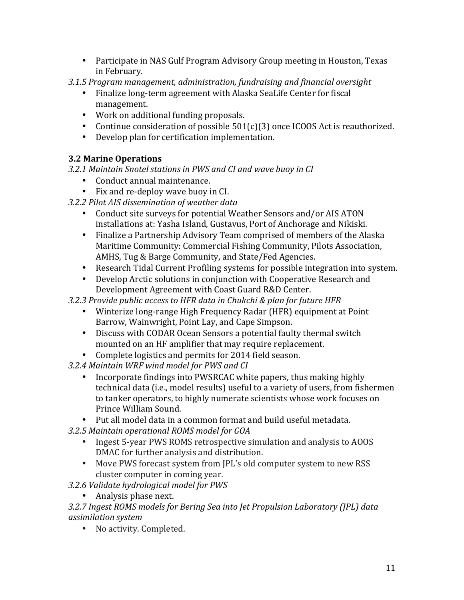- Participate in NAS Gulf Program Advisory Group meeting in Houston, Texas in February.
- *3.1.5 Program management, administration, fundraising and financial oversight*
	- Finalize long-term agreement with Alaska SeaLife Center for fiscal management.
	- Work on additional funding proposals.
	- Continue consideration of possible  $501(c)(3)$  once ICOOS Act is reauthorized.
	- Develop plan for certification implementation.

# **3.2 Marine Operations**

*3.2.1 Maintain Snotel stations in PWS and CI and wave buoy in CI*

- Conduct annual maintenance.
- Fix and re-deploy wave buoy in CI.
- *3.2.2 Pilot AIS dissemination of weather data*
	- Conduct site surveys for potential Weather Sensors and/or AIS ATON installations at: Yasha Island, Gustavus, Port of Anchorage and Nikiski.
	- Finalize a Partnership Advisory Team comprised of members of the Alaska Maritime Community: Commercial Fishing Community, Pilots Association, AMHS, Tug & Barge Community, and State/Fed Agencies.
	- Research Tidal Current Profiling systems for possible integration into system.
	- Develop Arctic solutions in conjunction with Cooperative Research and Development Agreement with Coast Guard R&D Center.

*3.2.3 Provide public access to HFR data in Chukchi & plan for future HFR*

- Winterize long-range High Frequency Radar (HFR) equipment at Point Barrow, Wainwright, Point Lay, and Cape Simpson.
- Discuss with CODAR Ocean Sensors a potential faulty thermal switch mounted on an HF amplifier that may require replacement.
- Complete logistics and permits for 2014 field season.
- *3.2.4 Maintain WRF wind model for PWS and CI*
	- Incorporate findings into PWSRCAC white papers, thus making highly technical data (i.e., model results) useful to a variety of users, from fishermen to tanker operators, to highly numerate scientists whose work focuses on Prince William Sound.
	- Put all model data in a common format and build useful metadata.
- *3.2.5 Maintain operational ROMS model for GOA*
	- Ingest 5-year PWS ROMS retrospective simulation and analysis to AOOS DMAC for further analysis and distribution.
	- Move PWS forecast system from IPL's old computer system to new RSS cluster computer in coming year.

*3.2.6 Validate hydrological model for PWS*

• Analysis phase next.

3.2.7 Ingest ROMS models for Bering Sea into Jet Propulsion Laboratory (JPL) data *assimilation system*

• No activity. Completed.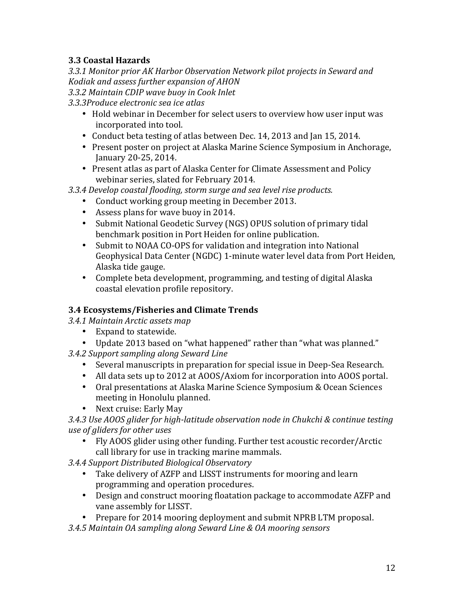# **3.3 Coastal Hazards**

3.3.1 Monitor prior AK Harbor Observation Network pilot projects in Seward and *Kodiak and assess further expansion of AHON*

*3.3.2 Maintain CDIP wave buoy in Cook Inlet*

*3.3.3Produce electronic sea ice atlas*

- Hold webinar in December for select users to overview how user input was incorporated into tool.
- Conduct beta testing of atlas between Dec. 14, 2013 and Jan 15, 2014.
- Present poster on project at Alaska Marine Science Symposium in Anchorage, January 20-25, 2014.
- Present atlas as part of Alaska Center for Climate Assessment and Policy webinar series, slated for February 2014.
- 3.3.4 Develop coastal flooding, storm surge and sea level rise products.
	- Conduct working group meeting in December 2013.
	- Assess plans for wave buoy in 2014.
	- Submit National Geodetic Survey (NGS) OPUS solution of primary tidal benchmark position in Port Heiden for online publication.
	- Submit to NOAA CO-OPS for validation and integration into National Geophysical Data Center (NGDC) 1-minute water level data from Port Heiden, Alaska tide gauge.
	- Complete beta development, programming, and testing of digital Alaska coastal elevation profile repository.

# **3.4 Ecosystems/Fisheries and Climate Trends**

*3.4.1 Maintain Arctic assets map*

- Expand to statewide.
- Update 2013 based on "what happened" rather than "what was planned."
- *3.4.2 Support sampling along Seward Line*
	- Several manuscripts in preparation for special issue in Deep-Sea Research.
	- All data sets up to 2012 at AOOS/Axiom for incorporation into AOOS portal.
	- Oral presentations at Alaska Marine Science Symposium & Ocean Sciences meeting in Honolulu planned.
	- Next cruise: Early May

3.4.3 Use AOOS glider for high-latitude observation node in Chukchi & continue testing *use of gliders for other uses*

• Fly AOOS glider using other funding. Further test acoustic recorder/Arctic call library for use in tracking marine mammals.

*3.4.4 Support Distributed Biological Observatory*

- Take delivery of AZFP and LISST instruments for mooring and learn programming and operation procedures.
- Design and construct mooring floatation package to accommodate AZFP and vane assembly for LISST.
- Prepare for 2014 mooring deployment and submit NPRB LTM proposal.
- *3.4.5 Maintain OA sampling along Seward Line & OA mooring sensors*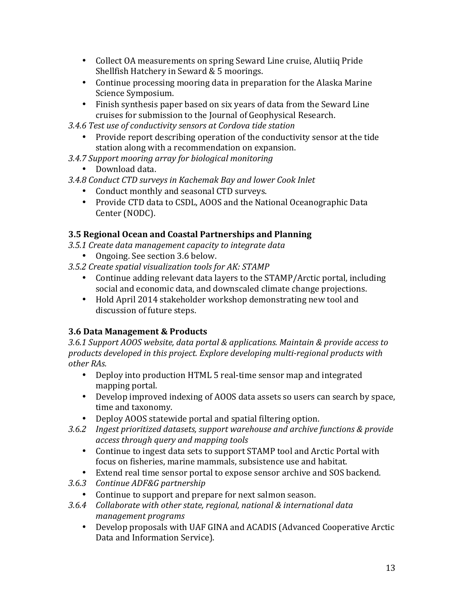- Collect OA measurements on spring Seward Line cruise, Alutiiq Pride Shellfish Hatchery in Seward & 5 moorings.
- Continue processing mooring data in preparation for the Alaska Marine Science Symposium.
- Finish synthesis paper based on six years of data from the Seward Line cruises for submission to the Journal of Geophysical Research.
- *3.4.6 Test use of conductivity sensors at Cordova tide station*
	- Provide report describing operation of the conductivity sensor at the tide station along with a recommendation on expansion.
- *3.4.7 Support mooring array for biological monitoring*
	- Download data.
- *3.4.8 Conduct CTD surveys in Kachemak Bay and lower Cook Inlet*
	- Conduct monthly and seasonal CTD surveys.
	- Provide CTD data to CSDL, AOOS and the National Oceanographic Data Center (NODC).

## **3.5 Regional Ocean and Coastal Partnerships and Planning**

- *3.5.1 Create data management capacity to integrate data*
	- Ongoing. See section 3.6 below.
- 3.5.2 Create spatial visualization tools for AK: STAMP
	- Continue adding relevant data layers to the STAMP/Arctic portal, including social and economic data, and downscaled climate change projections.
	- Hold April 2014 stakeholder workshop demonstrating new tool and discussion of future steps.

# **3.6 Data Management & Products**

3.6.1 Support AOOS website, data portal & applications. Maintain & provide access to products developed in this project. Explore developing multi-regional products with *other RAs.*

- Deploy into production HTML 5 real-time sensor map and integrated mapping portal.
- Develop improved indexing of AOOS data assets so users can search by space, time and taxonomy.
- Deploy AOOS statewide portal and spatial filtering option.
- 3.6.2 Ingest prioritized datasets, support warehouse and archive functions & provide *access through query and mapping tools*
	- Continue to ingest data sets to support STAMP tool and Arctic Portal with focus on fisheries, marine mammals, subsistence use and habitat.
	- Extend real time sensor portal to expose sensor archive and SOS backend.
- *3.6.3 Continue ADF&G partnership*
	- Continue to support and prepare for next salmon season.
- 3.6.4 Collaborate with other state, regional, national & international data *management programs*
	- Develop proposals with UAF GINA and ACADIS (Advanced Cooperative Arctic Data and Information Service).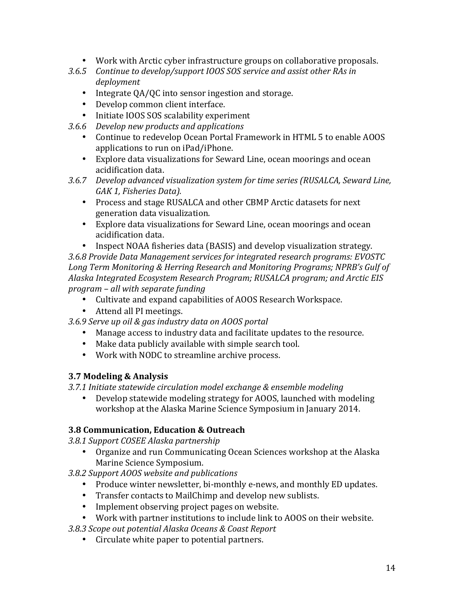- Work with Arctic cyber infrastructure groups on collaborative proposals.
- 3.6.5 Continue to develop/support IOOS SOS service and assist other RAs in *deployment*
	- Integrate QA/QC into sensor ingestion and storage.
	- Develop common client interface.
	- Initiate IOOS SOS scalability experiment
- *3.6.6 Develop new products and applications* 
	- Continue to redevelop Ocean Portal Framework in HTML 5 to enable AOOS applications to run on iPad/iPhone.
	- Explore data visualizations for Seward Line, ocean moorings and ocean acidification data.
- *3.6.7 Develop advanced visualization system for time series (RUSALCA, Seward Line,*  GAK 1, Fisheries Data).
	- Process and stage RUSALCA and other CBMP Arctic datasets for next generation data visualization.
	- Explore data visualizations for Seward Line, ocean moorings and ocean acidification data.
	- Inspect NOAA fisheries data (BASIS) and develop visualization strategy.

3.6.8 Provide Data Management services for integrated research programs: EVOSTC Long Term Monitoring & Herring Research and Monitoring Programs: NPRB's Gulf of Alaska Integrated *Ecosystem Research Program; RUSALCA program; and Arctic EIS program – all with separate funding*

- Cultivate and expand capabilities of AOOS Research Workspace.
- Attend all PI meetings.
- *3.6.9 Serve up oil & gas industry data on AOOS portal*
	- Manage access to industry data and facilitate updates to the resource.
	- Make data publicly available with simple search tool.
	- Work with NODC to streamline archive process.

### **3.7 Modeling & Analysis**

3.7.1 Initiate statewide circulation model exchange & ensemble modeling

• Develop statewide modeling strategy for AOOS, launched with modeling workshop at the Alaska Marine Science Symposium in January 2014.

### **3.8 Communication, Education & Outreach**

*3.8.1 Support COSEE Alaska partnership*

• Organize and run Communicating Ocean Sciences workshop at the Alaska Marine Science Symposium.

*3.8.2 Support AOOS website and publications*

- Produce winter newsletter, bi-monthly e-news, and monthly ED updates.
- Transfer contacts to MailChimp and develop new sublists.
- Implement observing project pages on website.
- Work with partner institutions to include link to AOOS on their website.

*3.8.3 Scope out potential Alaska Oceans & Coast Report*

• Circulate white paper to potential partners.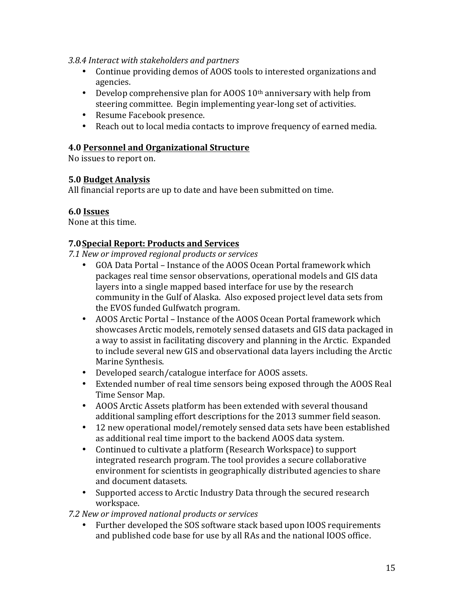### *3.8.4 Interact with stakeholders and partners*

- Continue providing demos of AOOS tools to interested organizations and agencies.
- Develop comprehensive plan for AOOS  $10<sup>th</sup>$  anniversary with help from steering committee. Begin implementing year-long set of activities.
- Resume Facebook presence.
- Reach out to local media contacts to improve frequency of earned media.

### **4.0 Personnel and Organizational Structure**

No issues to report on.

### **5.0 Budget Analysis**

All financial reports are up to date and have been submitted on time.

### **6.0 Issues**

None at this time.

### **7.0Special Report: Products and Services**

*7.1 New or improved regional products or services*

- GOA Data Portal Instance of the AOOS Ocean Portal framework which packages real time sensor observations, operational models and GIS data layers into a single mapped based interface for use by the research community in the Gulf of Alaska. Also exposed project level data sets from the EVOS funded Gulfwatch program.
- AOOS Arctic Portal Instance of the AOOS Ocean Portal framework which showcases Arctic models, remotely sensed datasets and GIS data packaged in a way to assist in facilitating discovery and planning in the Arctic. Expanded to include several new GIS and observational data layers including the Arctic Marine Synthesis.
- Developed search/catalogue interface for AOOS assets.
- Extended number of real time sensors being exposed through the AOOS Real Time Sensor Map.
- AOOS Arctic Assets platform has been extended with several thousand additional sampling effort descriptions for the 2013 summer field season.
- 12 new operational model/remotely sensed data sets have been established as additional real time import to the backend AOOS data system.
- Continued to cultivate a platform (Research Workspace) to support integrated research program. The tool provides a secure collaborative environment for scientists in geographically distributed agencies to share and document datasets.
- Supported access to Arctic Industry Data through the secured research workspace.

*7.2 New or improved national products or services*

• Further developed the SOS software stack based upon IOOS requirements and published code base for use by all RAs and the national IOOS office.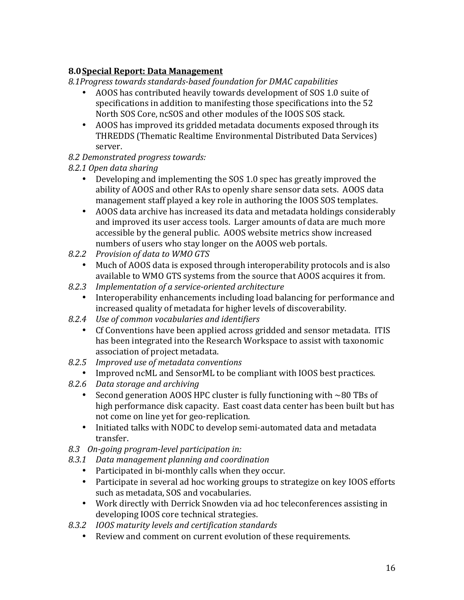# **8.0Special Report: Data Management**

8.1Progress towards standards-based foundation for DMAC capabilities

- AOOS has contributed heavily towards development of SOS 1.0 suite of specifications in addition to manifesting those specifications into the 52 North SOS Core, ncSOS and other modules of the IOOS SOS stack.
- AOOS has improved its gridded metadata documents exposed through its THREDDS (Thematic Realtime Environmental Distributed Data Services) server.
- *8.2 Demonstrated progress towards:*
- *8.2.1 Open data sharing*
	- Developing and implementing the SOS 1.0 spec has greatly improved the ability of AOOS and other RAs to openly share sensor data sets. AOOS data management staff played a key role in authoring the IOOS SOS templates.
	- AOOS data archive has increased its data and metadata holdings considerably and improved its user access tools. Larger amounts of data are much more accessible by the general public. AOOS website metrics show increased numbers of users who stay longer on the AOOS web portals.
- *8.2.2 Provision of data to WMO GTS*
	- Much of AOOS data is exposed through interoperability protocols and is also available to WMO GTS systems from the source that AOOS acquires it from.
- *8.2.3 Implementation of a service-oriented architecture*
	- Interoperability enhancements including load balancing for performance and increased quality of metadata for higher levels of discoverability.
- *8.2.4 Use of common vocabularies and identifiers*
	- Cf Conventions have been applied across gridded and sensor metadata. ITIS has been integrated into the Research Workspace to assist with taxonomic association of project metadata.
- 8.2.5 *Improved use of metadata conventions*
- Improved ncML and SensorML to be compliant with IOOS best practices.
- *8.2.6 Data storage and archiving*
	- Second generation AOOS HPC cluster is fully functioning with  $\sim$ 80 TBs of high performance disk capacity. East coast data center has been built but has not come on line yet for geo-replication.
	- Initiated talks with NODC to develop semi-automated data and metadata transfer.
- *8.3 On-going program-level participation in:*
- *8.3.1 Data management planning and coordination*
	- Participated in bi-monthly calls when they occur.
	- Participate in several ad hoc working groups to strategize on key IOOS efforts such as metadata, SOS and vocabularies.
	- Work directly with Derrick Snowden via ad hoc teleconferences assisting in developing IOOS core technical strategies.
- *8.3.2 IOOS maturity levels and certification standards*
	- Review and comment on current evolution of these requirements.